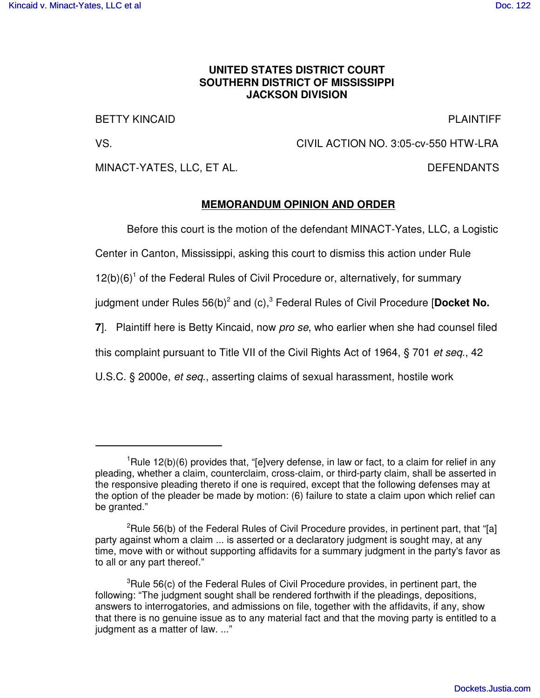## **UNITED STATES DISTRICT COURT SOUTHERN DISTRICT OF MISSISSIPPI JACKSON DIVISION**

BETTY KINCAID PLAINTIFF

VS. CIVIL ACTION NO. 3:05-cv-550 HTW-LRA

MINACT-YATES, LLC, ET AL. DEFENDANTS

## **MEMORANDUM OPINION AND ORDER**

Before this court is the motion of the defendant MINACT-Yates, LLC, a Logistic

Center in Canton, Mississippi, asking this court to dismiss this action under Rule

12(b)(6)<sup>1</sup> of the Federal Rules of Civil Procedure or, alternatively, for summary

judgment under Rules 56(b)<sup>2</sup> and (c),<sup>3</sup> Federal Rules of Civil Procedure [**Docket No.** 

**7**]. Plaintiff here is Betty Kincaid, now *pro se*, who earlier when she had counsel filed

this complaint pursuant to Title VII of the Civil Rights Act of 1964, § 701 *et seq*., 42

U.S.C. § 2000e, *et seq*., asserting claims of sexual harassment, hostile work

 $1$ Rule 12(b)(6) provides that, "[e]very defense, in law or fact, to a claim for relief in any pleading, whether a claim, counterclaim, cross-claim, or third-party claim, shall be asserted in the responsive pleading thereto if one is required, except that the following defenses may at the option of the pleader be made by motion: (6) failure to state a claim upon which relief can be granted."

<sup>&</sup>lt;sup>2</sup>Rule 56(b) of the Federal Rules of Civil Procedure provides, in pertinent part, that "[a] party against whom a claim ... is asserted or a declaratory judgment is sought may, at any time, move with or without supporting affidavits for a summary judgment in the party's favor as to all or any part thereof."

<sup>&</sup>lt;sup>3</sup>Rule 56(c) of the Federal Rules of Civil Procedure provides, in pertinent part, the following: "The judgment sought shall be rendered forthwith if the pleadings, depositions, answers to interrogatories, and admissions on file, together with the affidavits, if any, show that there is no genuine issue as to any material fact and that the moving party is entitled to a judgment as a matter of law. ..."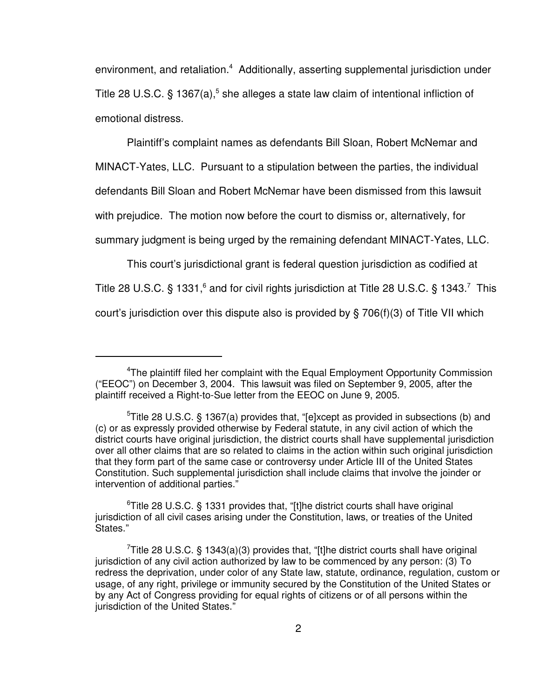environment, and retaliation.<sup>4</sup> Additionally, asserting supplemental jurisdiction under Title 28 U.S.C. § 1367(a),<sup>5</sup> she alleges a state law claim of intentional infliction of emotional distress.

Plaintiff's complaint names as defendants Bill Sloan, Robert McNemar and

MINACT-Yates, LLC. Pursuant to a stipulation between the parties, the individual

defendants Bill Sloan and Robert McNemar have been dismissed from this lawsuit

with prejudice. The motion now before the court to dismiss or, alternatively, for

summary judgment is being urged by the remaining defendant MINACT-Yates, LLC.

This court's jurisdictional grant is federal question jurisdiction as codified at Title 28 U.S.C. § 1331,<sup>6</sup> and for civil rights jurisdiction at Title 28 U.S.C. § 1343.<sup>7</sup> This court's jurisdiction over this dispute also is provided by § 706(f)(3) of Title VII which

<sup>4</sup>The plaintiff filed her complaint with the Equal Employment Opportunity Commission ("EEOC") on December 3, 2004. This lawsuit was filed on September 9, 2005, after the plaintiff received a Right-to-Sue letter from the EEOC on June 9, 2005.

<sup>5</sup>Title 28 U.S.C. § 1367(a) provides that, "[e]xcept as provided in subsections (b) and (c) or as expressly provided otherwise by Federal statute, in any civil action of which the district courts have original jurisdiction, the district courts shall have supplemental jurisdiction over all other claims that are so related to claims in the action within such original jurisdiction that they form part of the same case or controversy under Article III of the United States Constitution. Such supplemental jurisdiction shall include claims that involve the joinder or intervention of additional parties."

 $6$ Title 28 U.S.C. § 1331 provides that, "[t]he district courts shall have original jurisdiction of all civil cases arising under the Constitution, laws, or treaties of the United States."

Title 28 U.S.C. § 1343(a)(3) provides that, "[t]he district courts shall have original jurisdiction of any civil action authorized by law to be commenced by any person: (3) To redress the deprivation, under color of any State law, statute, ordinance, regulation, custom or usage, of any right, privilege or immunity secured by the Constitution of the United States or by any Act of Congress providing for equal rights of citizens or of all persons within the jurisdiction of the United States."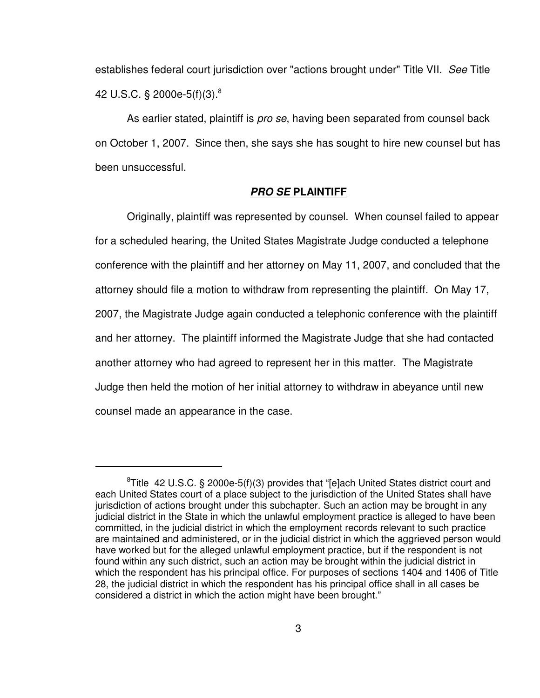establishes federal court jurisdiction over "actions brought under" Title VII. *See* Title 42 U.S.C. § 2000e-5(f)(3). 8

As earlier stated, plaintiff is *pro se*, having been separated from counsel back on October 1, 2007. Since then, she says she has sought to hire new counsel but has been unsuccessful.

#### *PRO SE* **PLAINTIFF**

Originally, plaintiff was represented by counsel. When counsel failed to appear for a scheduled hearing, the United States Magistrate Judge conducted a telephone conference with the plaintiff and her attorney on May 11, 2007, and concluded that the attorney should file a motion to withdraw from representing the plaintiff. On May 17, 2007, the Magistrate Judge again conducted a telephonic conference with the plaintiff and her attorney. The plaintiff informed the Magistrate Judge that she had contacted another attorney who had agreed to represent her in this matter. The Magistrate Judge then held the motion of her initial attorney to withdraw in abeyance until new counsel made an appearance in the case.

<sup>&</sup>lt;sup>8</sup>Title 42 U.S.C. § 2000e-5(f)(3) provides that "[e]ach United States district court and each United States court of a place subject to the jurisdiction of the United States shall have jurisdiction of actions brought under this subchapter. Such an action may be brought in any judicial district in the State in which the unlawful employment practice is alleged to have been committed, in the judicial district in which the employment records relevant to such practice are maintained and administered, or in the judicial district in which the aggrieved person would have worked but for the alleged unlawful employment practice, but if the respondent is not found within any such district, such an action may be brought within the judicial district in which the respondent has his principal office. For purposes of sections 1404 and 1406 of Title 28, the judicial district in which the respondent has his principal office shall in all cases be considered a district in which the action might have been brought."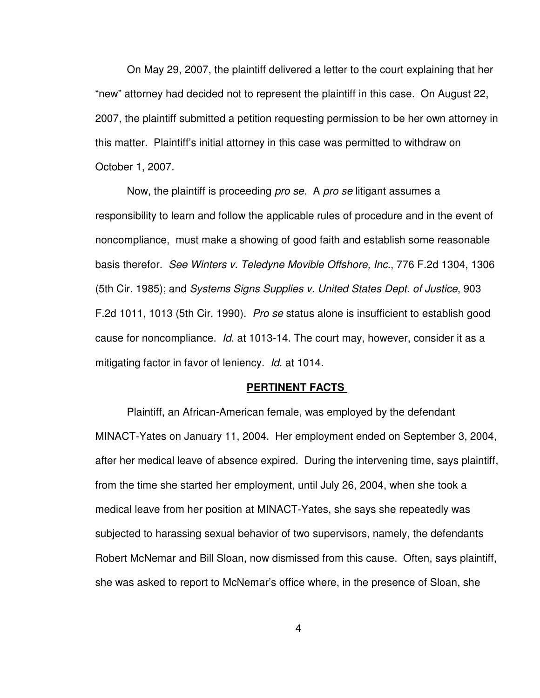On May 29, 2007, the plaintiff delivered a letter to the court explaining that her "new" attorney had decided not to represent the plaintiff in this case. On August 22, 2007, the plaintiff submitted a petition requesting permission to be her own attorney in this matter. Plaintiff's initial attorney in this case was permitted to withdraw on October 1, 2007.

Now, the plaintiff is proceeding *pro se*. A *pro se* litigant assumes a responsibility to learn and follow the applicable rules of procedure and in the event of noncompliance, must make a showing of good faith and establish some reasonable basis therefor. *See Winters v. Teledyne Movible Offshore, Inc.*, 776 F.2d 1304, 1306 (5th Cir. 1985); and *Systems Signs Supplies v. United States Dept. of Justice*, 903 F.2d 1011, 1013 (5th Cir. 1990). *Pro se* status alone is insufficient to establish good cause for noncompliance. *Id*. at 1013-14. The court may, however, consider it as a mitigating factor in favor of leniency. *Id*. at 1014.

### **PERTINENT FACTS**

Plaintiff, an African-American female, was employed by the defendant MINACT-Yates on January 11, 2004. Her employment ended on September 3, 2004, after her medical leave of absence expired. During the intervening time, says plaintiff, from the time she started her employment, until July 26, 2004, when she took a medical leave from her position at MINACT-Yates, she says she repeatedly was subjected to harassing sexual behavior of two supervisors, namely, the defendants Robert McNemar and Bill Sloan, now dismissed from this cause. Often, says plaintiff, she was asked to report to McNemar's office where, in the presence of Sloan, she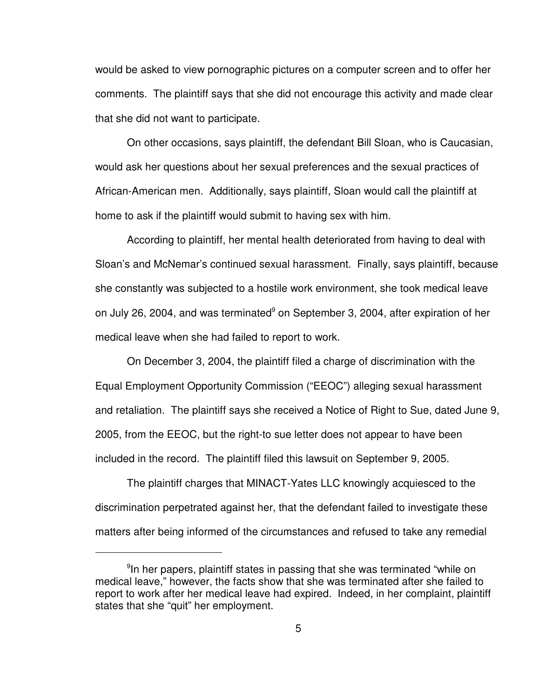would be asked to view pornographic pictures on a computer screen and to offer her comments. The plaintiff says that she did not encourage this activity and made clear that she did not want to participate.

On other occasions, says plaintiff, the defendant Bill Sloan, who is Caucasian, would ask her questions about her sexual preferences and the sexual practices of African-American men. Additionally, says plaintiff, Sloan would call the plaintiff at home to ask if the plaintiff would submit to having sex with him.

According to plaintiff, her mental health deteriorated from having to deal with Sloan's and McNemar's continued sexual harassment. Finally, says plaintiff, because she constantly was subjected to a hostile work environment, she took medical leave on July 26, 2004, and was terminated<sup>9</sup> on September 3, 2004, after expiration of her medical leave when she had failed to report to work.

On December 3, 2004, the plaintiff filed a charge of discrimination with the Equal Employment Opportunity Commission ("EEOC") alleging sexual harassment and retaliation. The plaintiff says she received a Notice of Right to Sue, dated June 9, 2005, from the EEOC, but the right-to sue letter does not appear to have been included in the record. The plaintiff filed this lawsuit on September 9, 2005.

The plaintiff charges that MINACT-Yates LLC knowingly acquiesced to the discrimination perpetrated against her, that the defendant failed to investigate these matters after being informed of the circumstances and refused to take any remedial

<sup>&</sup>lt;sup>9</sup>In her papers, plaintiff states in passing that she was terminated "while on medical leave," however, the facts show that she was terminated after she failed to report to work after her medical leave had expired. Indeed, in her complaint, plaintiff states that she "quit" her employment.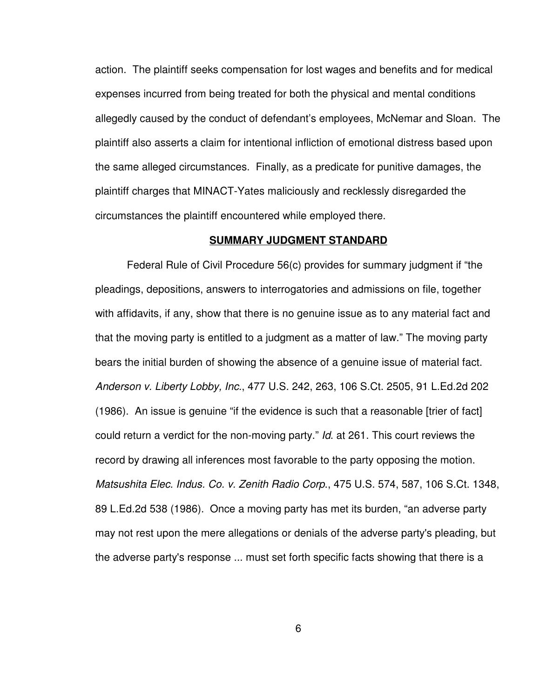action. The plaintiff seeks compensation for lost wages and benefits and for medical expenses incurred from being treated for both the physical and mental conditions allegedly caused by the conduct of defendant's employees, McNemar and Sloan. The plaintiff also asserts a claim for intentional infliction of emotional distress based upon the same alleged circumstances. Finally, as a predicate for punitive damages, the plaintiff charges that MINACT-Yates maliciously and recklessly disregarded the circumstances the plaintiff encountered while employed there.

#### **SUMMARY JUDGMENT STANDARD**

Federal Rule of Civil Procedure 56(c) provides for summary judgment if "the pleadings, depositions, answers to interrogatories and admissions on file, together with affidavits, if any, show that there is no genuine issue as to any material fact and that the moving party is entitled to a judgment as a matter of law." The moving party bears the initial burden of showing the absence of a genuine issue of material fact. *Anderson v. Liberty Lobby, Inc.*, 477 U.S. 242, 263, 106 S.Ct. 2505, 91 L.Ed.2d 202 (1986). An issue is genuine "if the evidence is such that a reasonable [trier of fact] could return a verdict for the non-moving party." *Id*. at 261. This court reviews the record by drawing all inferences most favorable to the party opposing the motion. *Matsushita Elec. Indus. Co. v. Zenith Radio Corp*., 475 U.S. 574, 587, 106 S.Ct. 1348, 89 L.Ed.2d 538 (1986). Once a moving party has met its burden, "an adverse party may not rest upon the mere allegations or denials of the adverse party's pleading, but the adverse party's response ... must set forth specific facts showing that there is a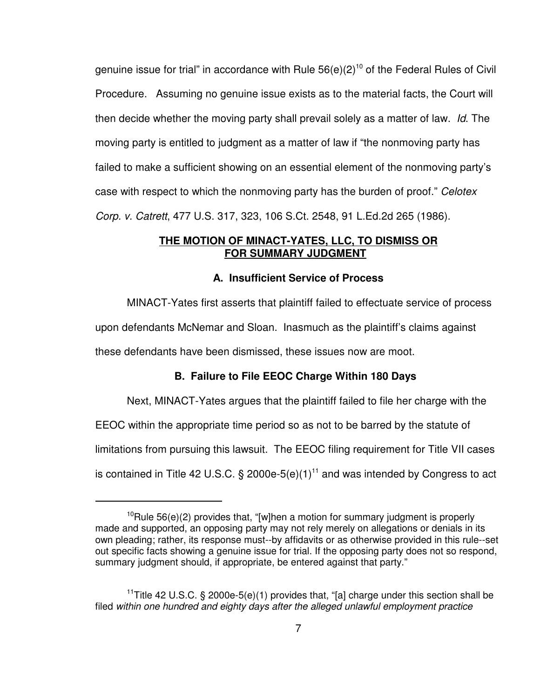genuine issue for trial" in accordance with Rule 56(e)(2)<sup>10</sup> of the Federal Rules of Civil Procedure. Assuming no genuine issue exists as to the material facts, the Court will then decide whether the moving party shall prevail solely as a matter of law. *Id*. The moving party is entitled to judgment as a matter of law if "the nonmoving party has failed to make a sufficient showing on an essential element of the nonmoving party's case with respect to which the nonmoving party has the burden of proof." *Celotex Corp. v. Catrett*, 477 U.S. 317, 323, 106 S.Ct. 2548, 91 L.Ed.2d 265 (1986).

# **THE MOTION OF MINACT-YATES, LLC, TO DISMISS OR FOR SUMMARY JUDGMENT**

## **A. Insufficient Service of Process**

MINACT-Yates first asserts that plaintiff failed to effectuate service of process upon defendants McNemar and Sloan. Inasmuch as the plaintiff's claims against these defendants have been dismissed, these issues now are moot.

## **B. Failure to File EEOC Charge Within 180 Days**

Next, MINACT-Yates argues that the plaintiff failed to file her charge with the

EEOC within the appropriate time period so as not to be barred by the statute of

limitations from pursuing this lawsuit. The EEOC filing requirement for Title VII cases

is contained in Title 42 U.S.C.  $\S$  2000e-5(e)(1)<sup>11</sup> and was intended by Congress to act

 $10$ Rule 56(e)(2) provides that, "[w]hen a motion for summary judgment is properly made and supported, an opposing party may not rely merely on allegations or denials in its own pleading; rather, its response must--by affidavits or as otherwise provided in this rule--set out specific facts showing a genuine issue for trial. If the opposing party does not so respond, summary judgment should, if appropriate, be entered against that party."

<sup>&</sup>lt;sup>11</sup>Title 42 U.S.C. § 2000e-5(e)(1) provides that, "[a] charge under this section shall be filed *within one hundred and eighty days after the alleged unlawful employment practice*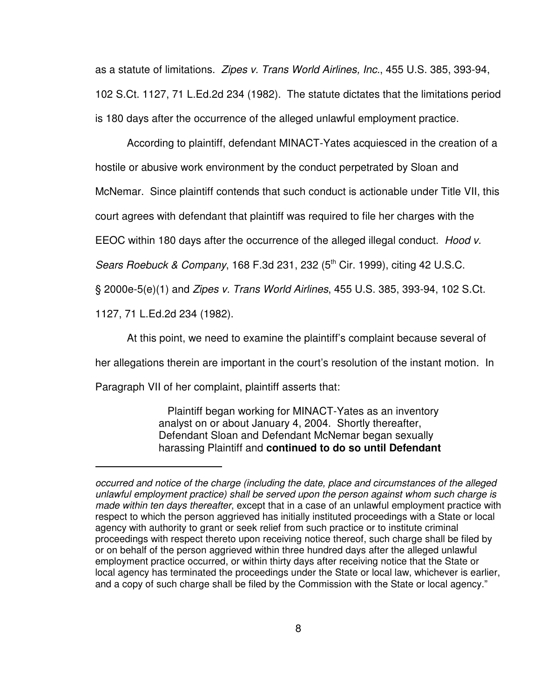as a statute of limitations. *Zipes v. Trans World Airlines, Inc.*, 455 U.S. 385, 393-94, 102 S.Ct. 1127, 71 L.Ed.2d 234 (1982). The statute dictates that the limitations period is 180 days after the occurrence of the alleged unlawful employment practice.

According to plaintiff, defendant MINACT-Yates acquiesced in the creation of a hostile or abusive work environment by the conduct perpetrated by Sloan and McNemar. Since plaintiff contends that such conduct is actionable under Title VII, this court agrees with defendant that plaintiff was required to file her charges with the EEOC within 180 days after the occurrence of the alleged illegal conduct. *Hood v. Sears Roebuck & Company*, 168 F.3d 231, 232 (5 th Cir. 1999), citing 42 U.S.C. § 2000e-5(e)(1) and *Zipes v. Trans World Airlines*, 455 U.S. 385, 393-94, 102 S.Ct. 1127, 71 L.Ed.2d 234 (1982).

At this point, we need to examine the plaintiff's complaint because several of her allegations therein are important in the court's resolution of the instant motion. In Paragraph VII of her complaint, plaintiff asserts that:

> Plaintiff began working for MINACT-Yates as an inventory analyst on or about January 4, 2004. Shortly thereafter, Defendant Sloan and Defendant McNemar began sexually harassing Plaintiff and **continued to do so until Defendant**

*occurred and notice of the charge (including the date, place and circumstances of the alleged unlawful employment practice) shall be served upon the person against whom such charge is made within ten days thereafter*, except that in a case of an unlawful employment practice with respect to which the person aggrieved has initially instituted proceedings with a State or local agency with authority to grant or seek relief from such practice or to institute criminal proceedings with respect thereto upon receiving notice thereof, such charge shall be filed by or on behalf of the person aggrieved within three hundred days after the alleged unlawful employment practice occurred, or within thirty days after receiving notice that the State or local agency has terminated the proceedings under the State or local law, whichever is earlier, and a copy of such charge shall be filed by the Commission with the State or local agency."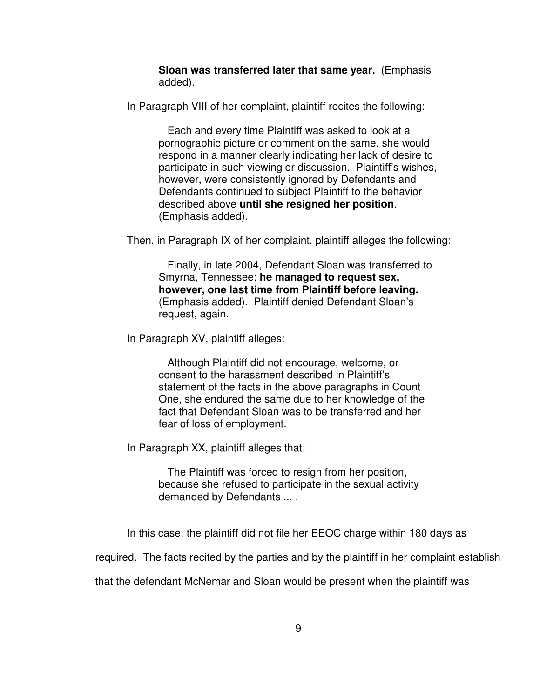**Sloan was transferred later that same year.** (Emphasis added).

In Paragraph VIII of her complaint, plaintiff recites the following:

Each and every time Plaintiff was asked to look at a pornographic picture or comment on the same, she would respond in a manner clearly indicating her lack of desire to participate in such viewing or discussion. Plaintiff's wishes, however, were consistently ignored by Defendants and Defendants continued to subject Plaintiff to the behavior described above **until she resigned her position**. (Emphasis added).

Then, in Paragraph IX of her complaint, plaintiff alleges the following:

Finally, in late 2004, Defendant Sloan was transferred to Smyrna, Tennessee; **he managed to request sex, however, one last time from Plaintiff before leaving.** (Emphasis added). Plaintiff denied Defendant Sloan's request, again.

In Paragraph XV, plaintiff alleges:

Although Plaintiff did not encourage, welcome, or consent to the harassment described in Plaintiff's statement of the facts in the above paragraphs in Count One, she endured the same due to her knowledge of the fact that Defendant Sloan was to be transferred and her fear of loss of employment.

In Paragraph XX, plaintiff alleges that:

The Plaintiff was forced to resign from her position, because she refused to participate in the sexual activity demanded by Defendants ... .

In this case, the plaintiff did not file her EEOC charge within 180 days as

required. The facts recited by the parties and by the plaintiff in her complaint establish

that the defendant McNemar and Sloan would be present when the plaintiff was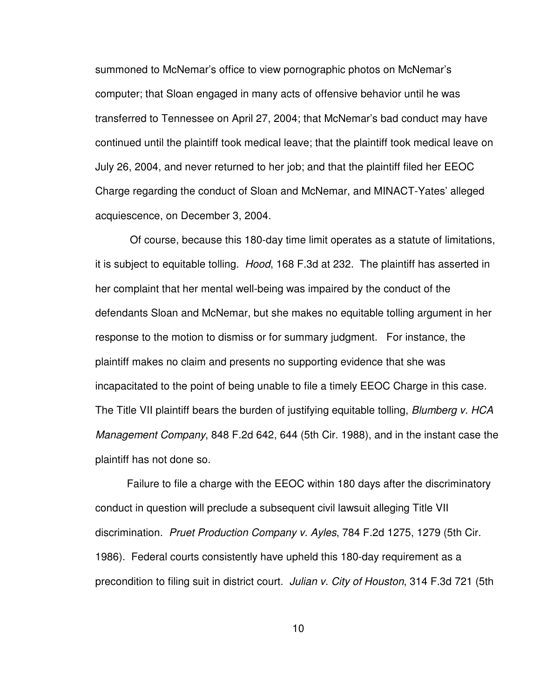summoned to McNemar's office to view pornographic photos on McNemar's computer; that Sloan engaged in many acts of offensive behavior until he was transferred to Tennessee on April 27, 2004; that McNemar's bad conduct may have continued until the plaintiff took medical leave; that the plaintiff took medical leave on July 26, 2004, and never returned to her job; and that the plaintiff filed her EEOC Charge regarding the conduct of Sloan and McNemar, and MINACT-Yates' alleged acquiescence, on December 3, 2004.

Of course, because this 180-day time limit operates as a statute of limitations, it is subject to equitable tolling. *Hood*, 168 F.3d at 232. The plaintiff has asserted in her complaint that her mental well-being was impaired by the conduct of the defendants Sloan and McNemar, but she makes no equitable tolling argument in her response to the motion to dismiss or for summary judgment. For instance, the plaintiff makes no claim and presents no supporting evidence that she was incapacitated to the point of being unable to file a timely EEOC Charge in this case. The Title VII plaintiff bears the burden of justifying equitable tolling, *Blumberg v. HCA Management Company*, 848 F.2d 642, 644 (5th Cir. 1988), and in the instant case the plaintiff has not done so.

Failure to file a charge with the EEOC within 180 days after the discriminatory conduct in question will preclude a subsequent civil lawsuit alleging Title VII discrimination. *Pruet Production Company v. Ayles*, 784 F.2d 1275, 1279 (5th Cir. 1986). Federal courts consistently have upheld this 180-day requirement as a precondition to filing suit in district court. *Julian v. City of Houston*, 314 F.3d 721 (5th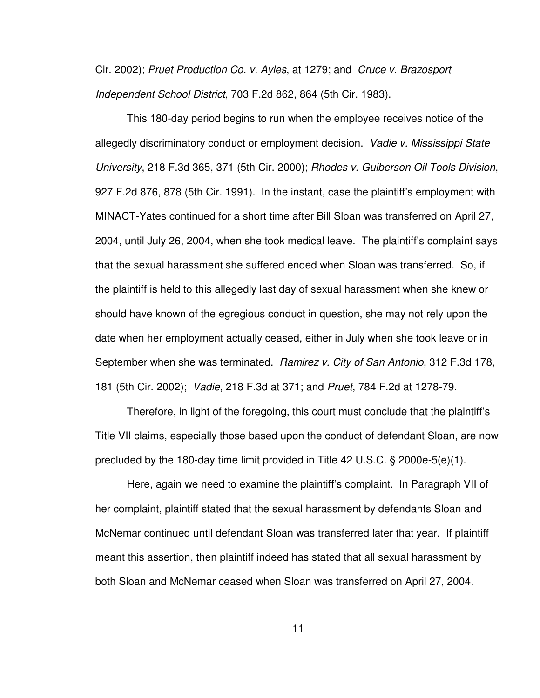Cir. 2002); *Pruet Production Co. v. Ayles*, at 1279; and *Cruce v. Brazosport Independent School District*, 703 F.2d 862, 864 (5th Cir. 1983).

This 180-day period begins to run when the employee receives notice of the allegedly discriminatory conduct or employment decision. *Vadie v. Mississippi State University*, 218 F.3d 365, 371 (5th Cir. 2000); *Rhodes v. Guiberson Oil Tools Division*, 927 F.2d 876, 878 (5th Cir. 1991). In the instant, case the plaintiff's employment with MINACT-Yates continued for a short time after Bill Sloan was transferred on April 27, 2004, until July 26, 2004, when she took medical leave. The plaintiff's complaint says that the sexual harassment she suffered ended when Sloan was transferred. So, if the plaintiff is held to this allegedly last day of sexual harassment when she knew or should have known of the egregious conduct in question, she may not rely upon the date when her employment actually ceased, either in July when she took leave or in September when she was terminated. *Ramirez v. City of San Antonio*, 312 F.3d 178, 181 (5th Cir. 2002); *Vadie*, 218 F.3d at 371; and *Pruet*, 784 F.2d at 1278-79.

Therefore, in light of the foregoing, this court must conclude that the plaintiff's Title VII claims, especially those based upon the conduct of defendant Sloan, are now precluded by the 180-day time limit provided in Title 42 U.S.C. § 2000e-5(e)(1).

Here, again we need to examine the plaintiff's complaint. In Paragraph VII of her complaint, plaintiff stated that the sexual harassment by defendants Sloan and McNemar continued until defendant Sloan was transferred later that year. If plaintiff meant this assertion, then plaintiff indeed has stated that all sexual harassment by both Sloan and McNemar ceased when Sloan was transferred on April 27, 2004.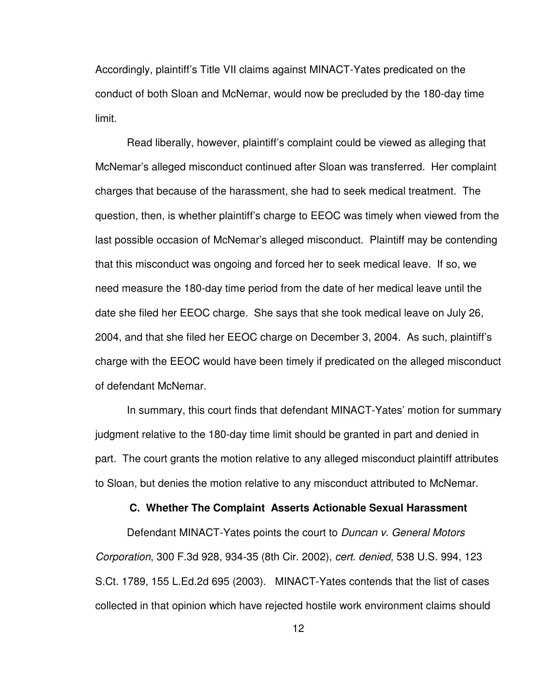Accordingly, plaintiff's Title VII claims against MINACT-Yates predicated on the conduct of both Sloan and McNemar, would now be precluded by the 180-day time limit.

Read liberally, however, plaintiff's complaint could be viewed as alleging that McNemar's alleged misconduct continued after Sloan was transferred. Her complaint charges that because of the harassment, she had to seek medical treatment. The question, then, is whether plaintiff's charge to EEOC was timely when viewed from the last possible occasion of McNemar's alleged misconduct. Plaintiff may be contending that this misconduct was ongoing and forced her to seek medical leave. If so, we need measure the 180-day time period from the date of her medical leave until the date she filed her EEOC charge. She says that she took medical leave on July 26, 2004, and that she filed her EEOC charge on December 3, 2004. As such, plaintiff's charge with the EEOC would have been timely if predicated on the alleged misconduct of defendant McNemar.

In summary, this court finds that defendant MINACT-Yates' motion for summary judgment relative to the 180-day time limit should be granted in part and denied in part. The court grants the motion relative to any alleged misconduct plaintiff attributes to Sloan, but denies the motion relative to any misconduct attributed to McNemar.

### **C. Whether The Complaint Asserts Actionable Sexual Harassment**

Defendant MINACT-Yates points the court to *Duncan v. General Motors Corporation*, 300 F.3d 928, 934-35 (8th Cir. 2002), *cert. denied,* 538 U.S. 994, 123 S.Ct. 1789, 155 L.Ed.2d 695 (2003). MINACT-Yates contends that the list of cases collected in that opinion which have rejected hostile work environment claims should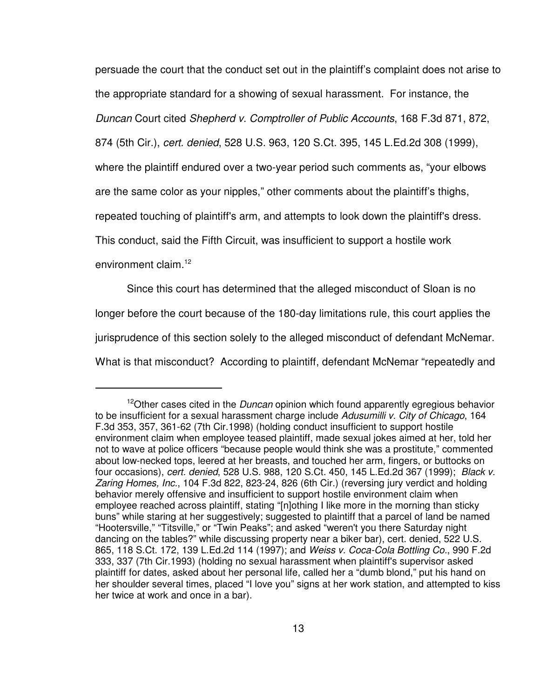persuade the court that the conduct set out in the plaintiff's complaint does not arise to the appropriate standard for a showing of sexual harassment. For instance, the *Duncan* Court cited *Shepherd v. Comptroller of Public Accounts*, 168 F.3d 871, 872, 874 (5th Cir.), *cert. denied*, 528 U.S. 963, 120 S.Ct. 395, 145 L.Ed.2d 308 (1999), where the plaintiff endured over a two-year period such comments as, "your elbows are the same color as your nipples," other comments about the plaintiff's thighs, repeated touching of plaintiff's arm, and attempts to look down the plaintiff's dress. This conduct, said the Fifth Circuit, was insufficient to support a hostile work environment claim. 12

Since this court has determined that the alleged misconduct of Sloan is no longer before the court because of the 180-day limitations rule, this court applies the jurisprudence of this section solely to the alleged misconduct of defendant McNemar. What is that misconduct? According to plaintiff, defendant McNemar "repeatedly and

<sup>&</sup>lt;sup>12</sup>Other cases cited in the *Duncan* opinion which found apparently egregious behavior to be insufficient for a sexual harassment charge include *Adusumilli v. City of Chicago*, 164 F.3d 353, 357, 361-62 (7th Cir.1998) (holding conduct insufficient to support hostile environment claim when employee teased plaintiff, made sexual jokes aimed at her, told her not to wave at police officers "because people would think she was a prostitute," commented about low-necked tops, leered at her breasts, and touched her arm, fingers, or buttocks on four occasions), *cert. denied*, 528 U.S. 988, 120 S.Ct. 450, 145 L.Ed.2d 367 (1999); *Black v. Zaring Homes, Inc.*, 104 F.3d 822, 823-24, 826 (6th Cir.) (reversing jury verdict and holding behavior merely offensive and insufficient to support hostile environment claim when employee reached across plaintiff, stating "[n]othing I like more in the morning than sticky buns" while staring at her suggestively; suggested to plaintiff that a parcel of land be named "Hootersville," "Titsville," or "Twin Peaks"; and asked "weren't you there Saturday night dancing on the tables?" while discussing property near a biker bar), cert. denied, 522 U.S. 865, 118 S.Ct. 172, 139 L.Ed.2d 114 (1997); and *Weiss v. Coca-Cola Bottling Co.*, 990 F.2d 333, 337 (7th Cir.1993) (holding no sexual harassment when plaintiff's supervisor asked plaintiff for dates, asked about her personal life, called her a "dumb blond," put his hand on her shoulder several times, placed "I love you" signs at her work station, and attempted to kiss her twice at work and once in a bar).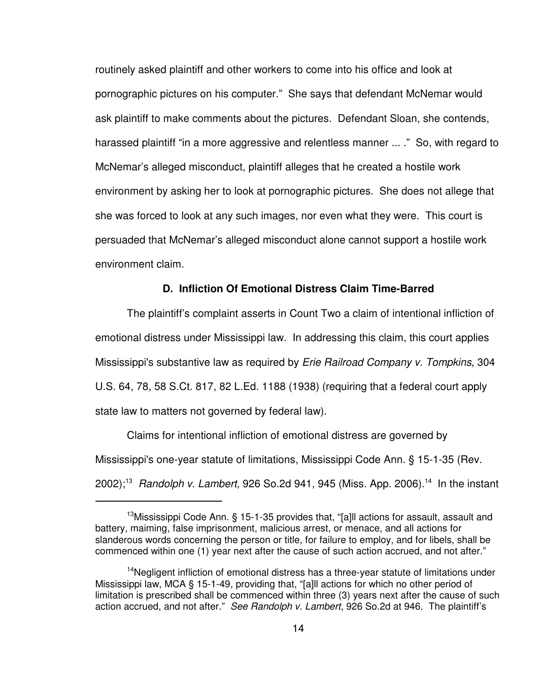routinely asked plaintiff and other workers to come into his office and look at pornographic pictures on his computer." She says that defendant McNemar would ask plaintiff to make comments about the pictures. Defendant Sloan, she contends, harassed plaintiff "in a more aggressive and relentless manner ... ." So, with regard to McNemar's alleged misconduct, plaintiff alleges that he created a hostile work environment by asking her to look at pornographic pictures. She does not allege that she was forced to look at any such images, nor even what they were. This court is persuaded that McNemar's alleged misconduct alone cannot support a hostile work environment claim.

### **D. Infliction Of Emotional Distress Claim Time-Barred**

The plaintiff's complaint asserts in Count Two a claim of intentional infliction of emotional distress under Mississippi law. In addressing this claim, this court applies Mississippi's substantive law as required by *Erie Railroad Company v. Tompkins*, 304 U.S. 64, 78, 58 S.Ct. 817, 82 L.Ed. 1188 (1938) (requiring that a federal court apply state law to matters not governed by federal law).

Claims for intentional infliction of emotional distress are governed by Mississippi's one-year statute of limitations, Mississippi Code Ann. § 15-1-35 (Rev. 2002); <sup>13</sup> *Randolph v. Lambert*, 926 So.2d 941, 945 (Miss. App. 2006). 14 In the instant

<sup>&</sup>lt;sup>13</sup>Mississippi Code Ann. § 15-1-35 provides that, "[a]ll actions for assault, assault and battery, maiming, false imprisonment, malicious arrest, or menace, and all actions for slanderous words concerning the person or title, for failure to employ, and for libels, shall be commenced within one (1) year next after the cause of such action accrued, and not after."

<sup>&</sup>lt;sup>14</sup>Negligent infliction of emotional distress has a three-year statute of limitations under Mississippi law, MCA § 15-1-49, providing that, "[a]ll actions for which no other period of limitation is prescribed shall be commenced within three (3) years next after the cause of such action accrued, and not after." *See Randolph v. Lambert*, 926 So.2d at 946. The plaintiff's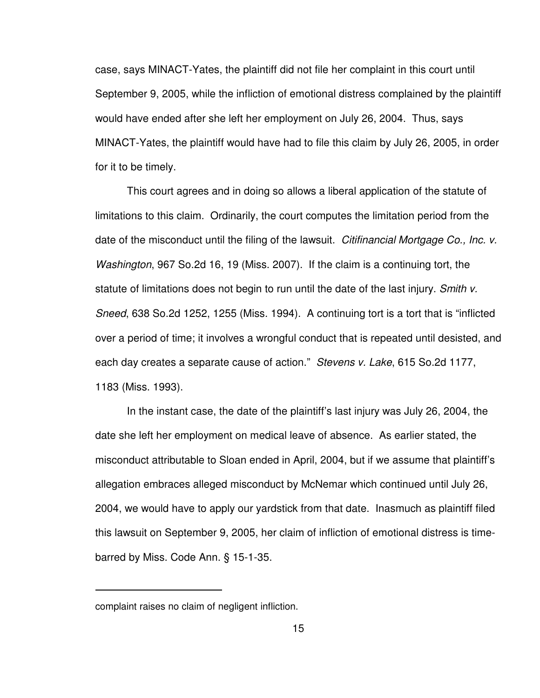case, says MINACT-Yates, the plaintiff did not file her complaint in this court until September 9, 2005, while the infliction of emotional distress complained by the plaintiff would have ended after she left her employment on July 26, 2004. Thus, says MINACT-Yates, the plaintiff would have had to file this claim by July 26, 2005, in order for it to be timely.

This court agrees and in doing so allows a liberal application of the statute of limitations to this claim. Ordinarily, the court computes the limitation period from the date of the misconduct until the filing of the lawsuit. *Citifinancial Mortgage Co., Inc. v. Washington*, 967 So.2d 16, 19 (Miss. 2007). If the claim is a continuing tort, the statute of limitations does not begin to run until the date of the last injury. *Smith v. Sneed*, 638 So.2d 1252, 1255 (Miss. 1994). A continuing tort is a tort that is "inflicted over a period of time; it involves a wrongful conduct that is repeated until desisted, and each day creates a separate cause of action." *Stevens v. Lake*, 615 So.2d 1177, 1183 (Miss. 1993).

In the instant case, the date of the plaintiff's last injury was July 26, 2004, the date she left her employment on medical leave of absence. As earlier stated, the misconduct attributable to Sloan ended in April, 2004, but if we assume that plaintiff's allegation embraces alleged misconduct by McNemar which continued until July 26, 2004, we would have to apply our yardstick from that date. Inasmuch as plaintiff filed this lawsuit on September 9, 2005, her claim of infliction of emotional distress is timebarred by Miss. Code Ann. § 15-1-35.

complaint raises no claim of negligent infliction.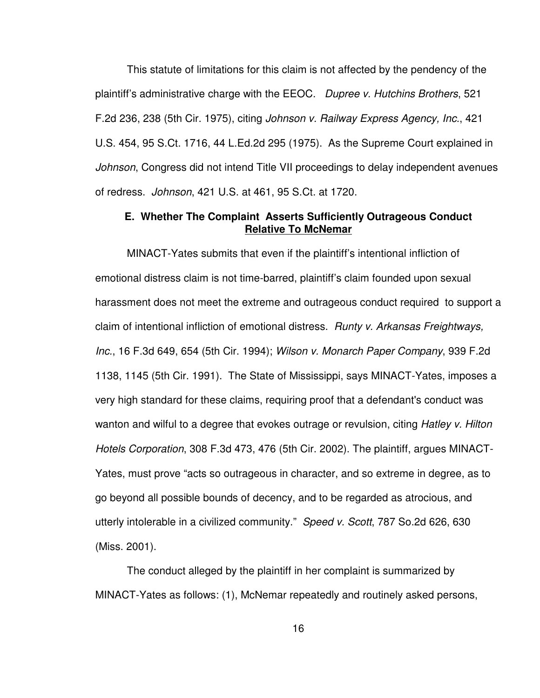This statute of limitations for this claim is not affected by the pendency of the plaintiff's administrative charge with the EEOC. *Dupree v. Hutchins Brothers*, 521 F.2d 236, 238 (5th Cir. 1975), citing *Johnson v. Railway Express Agency, Inc.*, 421 U.S. 454, 95 S.Ct. 1716, 44 L.Ed.2d 295 (1975). As the Supreme Court explained in *Johnson*, Congress did not intend Title VII proceedings to delay independent avenues of redress. *Johnson*, 421 U.S. at 461, 95 S.Ct. at 1720.

## **E. Whether The Complaint Asserts Sufficiently Outrageous Conduct Relative To McNemar**

MINACT-Yates submits that even if the plaintiff's intentional infliction of emotional distress claim is not time-barred, plaintiff's claim founded upon sexual harassment does not meet the extreme and outrageous conduct required to support a claim of intentional infliction of emotional distress. *Runty v. Arkansas Freightways, Inc.*, 16 F.3d 649, 654 (5th Cir. 1994); *Wilson v. Monarch Paper Company*, 939 F.2d 1138, 1145 (5th Cir. 1991). The State of Mississippi, says MINACT-Yates, imposes a very high standard for these claims, requiring proof that a defendant's conduct was wanton and wilful to a degree that evokes outrage or revulsion, citing *Hatley v. Hilton Hotels Corporation*, 308 F.3d 473, 476 (5th Cir. 2002). The plaintiff, argues MINACT-Yates, must prove "acts so outrageous in character, and so extreme in degree, as to go beyond all possible bounds of decency, and to be regarded as atrocious, and utterly intolerable in a civilized community." *Speed v. Scott*, 787 So.2d 626, 630 (Miss. 2001).

The conduct alleged by the plaintiff in her complaint is summarized by MINACT-Yates as follows: (1), McNemar repeatedly and routinely asked persons,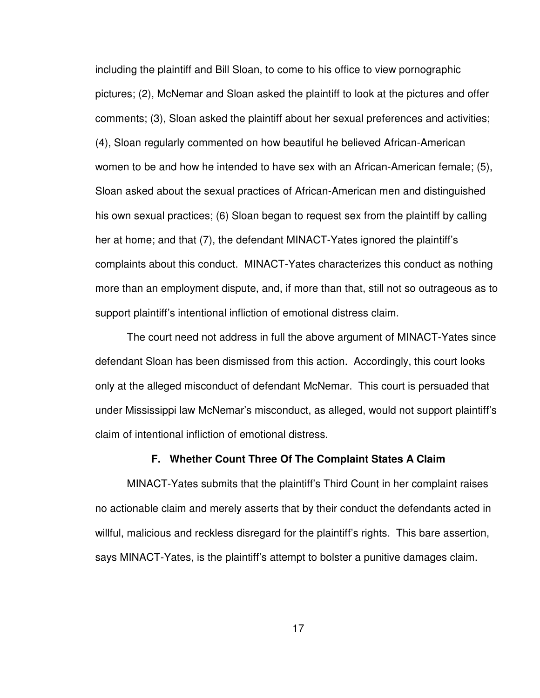including the plaintiff and Bill Sloan, to come to his office to view pornographic pictures; (2), McNemar and Sloan asked the plaintiff to look at the pictures and offer comments; (3), Sloan asked the plaintiff about her sexual preferences and activities; (4), Sloan regularly commented on how beautiful he believed African-American women to be and how he intended to have sex with an African-American female; (5), Sloan asked about the sexual practices of African-American men and distinguished his own sexual practices; (6) Sloan began to request sex from the plaintiff by calling her at home; and that (7), the defendant MINACT-Yates ignored the plaintiff's complaints about this conduct. MINACT-Yates characterizes this conduct as nothing more than an employment dispute, and, if more than that, still not so outrageous as to support plaintiff's intentional infliction of emotional distress claim.

The court need not address in full the above argument of MINACT-Yates since defendant Sloan has been dismissed from this action. Accordingly, this court looks only at the alleged misconduct of defendant McNemar. This court is persuaded that under Mississippi law McNemar's misconduct, as alleged, would not support plaintiff's claim of intentional infliction of emotional distress.

#### **F. Whether Count Three Of The Complaint States A Claim**

MINACT-Yates submits that the plaintiff's Third Count in her complaint raises no actionable claim and merely asserts that by their conduct the defendants acted in willful, malicious and reckless disregard for the plaintiff's rights. This bare assertion, says MINACT-Yates, is the plaintiff's attempt to bolster a punitive damages claim.